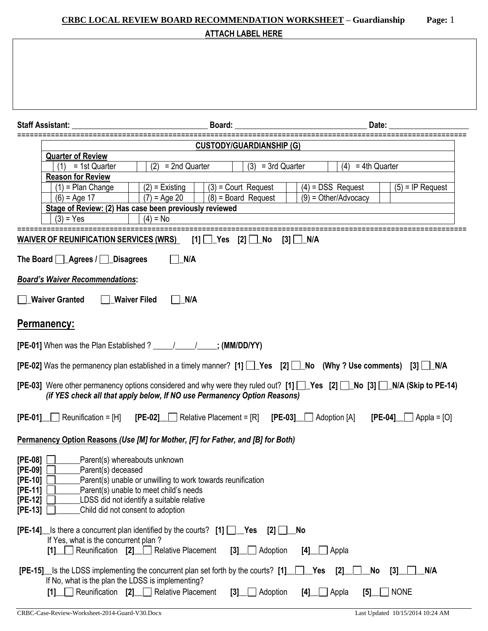# **CRBC LOCAL REVIEW BOARD RECOMMENDATION WORKSHEET – Guardianship Page:** 1 **ATTACH LABEL HERE**

| <b>Staff Assistant:</b>                                                                                                                                                                         | Board:                                                                                                                                                                                                                   |                                                |                                               |                           |  |  |  |  |  |
|-------------------------------------------------------------------------------------------------------------------------------------------------------------------------------------------------|--------------------------------------------------------------------------------------------------------------------------------------------------------------------------------------------------------------------------|------------------------------------------------|-----------------------------------------------|---------------------------|--|--|--|--|--|
|                                                                                                                                                                                                 | <b>CUSTODY/GUARDIANSHIP (G)</b>                                                                                                                                                                                          |                                                |                                               |                           |  |  |  |  |  |
| <b>Quarter of Review</b>                                                                                                                                                                        |                                                                                                                                                                                                                          |                                                |                                               |                           |  |  |  |  |  |
| $(1) = 1st$ Quarter                                                                                                                                                                             | $(2) = 2nd$ Quarter                                                                                                                                                                                                      | $(3) = 3rd$ Quarter                            | (4)<br>$= 4th$ Quarter                        |                           |  |  |  |  |  |
| <b>Reason for Review</b>                                                                                                                                                                        |                                                                                                                                                                                                                          |                                                |                                               |                           |  |  |  |  |  |
| $(1)$ = Plan Change<br>$(6)$ = Age 17                                                                                                                                                           | $(2)$ = Existing<br>$(7) = Age 20$                                                                                                                                                                                       | $(3)$ = Court Request<br>$(8)$ = Board Request | $(4)$ = DSS Request<br>$(9)$ = Other/Advocacy | $(5)$ = IP Request        |  |  |  |  |  |
|                                                                                                                                                                                                 | Stage of Review: (2) Has case been previously reviewed                                                                                                                                                                   |                                                |                                               |                           |  |  |  |  |  |
| $(3) = Yes$                                                                                                                                                                                     | $(4) = No$                                                                                                                                                                                                               |                                                |                                               |                           |  |  |  |  |  |
| <b>WAIVER OF REUNIFICATION SERVICES (WRS)</b>                                                                                                                                                   | $[1] \bigsqcup$ Yes $[2] \bigsqcup$ No                                                                                                                                                                                   |                                                |                                               |                           |  |  |  |  |  |
|                                                                                                                                                                                                 |                                                                                                                                                                                                                          |                                                |                                               |                           |  |  |  |  |  |
| The Board <b>Agrees</b> / <b>Disagrees</b>                                                                                                                                                      | N/A                                                                                                                                                                                                                      |                                                |                                               |                           |  |  |  |  |  |
| <b>Board's Waiver Recommendations:</b>                                                                                                                                                          |                                                                                                                                                                                                                          |                                                |                                               |                           |  |  |  |  |  |
| <b>Waiver Granted</b>                                                                                                                                                                           | $\Box$ N/A<br><b>Waiver Filed</b>                                                                                                                                                                                        |                                                |                                               |                           |  |  |  |  |  |
| <b>Permanency:</b>                                                                                                                                                                              |                                                                                                                                                                                                                          |                                                |                                               |                           |  |  |  |  |  |
| [PE-01] When was the Plan Established ? _____________________; (MM/DD/YY)                                                                                                                       |                                                                                                                                                                                                                          |                                                |                                               |                           |  |  |  |  |  |
| [PE-02] Was the permanency plan established in a timely manner? [1] [Ses [2] [Sulle No (Why? Use comments) [3] [Sulle N/A                                                                       |                                                                                                                                                                                                                          |                                                |                                               |                           |  |  |  |  |  |
| [PE-03] Were other permanency options considered and why were they ruled out? [1] Yes [2] No [3] NA (Skip to PE-14)<br>(if YES check all that apply below, If NO use Permanency Option Reasons) |                                                                                                                                                                                                                          |                                                |                                               |                           |  |  |  |  |  |
| $[PE-01]$ Reunification = [H] $[PE-02]$ Relative Placement = [R]<br>$[PE-03]$ Adoption $[A]$<br>$[PE-04]$ Appla = [O]                                                                           |                                                                                                                                                                                                                          |                                                |                                               |                           |  |  |  |  |  |
| Permanency Option Reasons (Use [M] for Mother, [F] for Father, and [B] for Both)                                                                                                                |                                                                                                                                                                                                                          |                                                |                                               |                           |  |  |  |  |  |
| $[PE-08]$<br>$[PE-09]$<br>Parent(s) deceased<br>$[PE-10]$<br>$[PE-11]$<br>$[PE-12]$<br>$[PE-13]$                                                                                                | Parent(s) whereabouts unknown<br>Parent(s) unable or unwilling to work towards reunification<br>Parent(s) unable to meet child's needs<br>LDSS did not identify a suitable relative<br>Child did not consent to adoption |                                                |                                               |                           |  |  |  |  |  |
| [PE-14] Is there a concurrent plan identified by the courts? [1] TAGS<br>If Yes, what is the concurrent plan?<br>Reunification $[2]$<br>$\mathsf{I}$ 1                                          | <b>Relative Placement</b><br>$\left[3\right]$                                                                                                                                                                            | No<br>$[2]$<br>Adoption<br>[4]                 | Appla                                         |                           |  |  |  |  |  |
| <b>[PE-15]</b> S the LDSS implementing the concurrent plan set forth by the courts? [1]<br>If No, what is the plan the LDSS is implementing?<br>[1]                                             | Reunification [2] Relative Placement<br>[3]                                                                                                                                                                              | _Yes<br>Adoption<br>[4]                        | [2]<br>No<br>Appla<br>[5]                     | N/A<br>[3]<br><b>NONE</b> |  |  |  |  |  |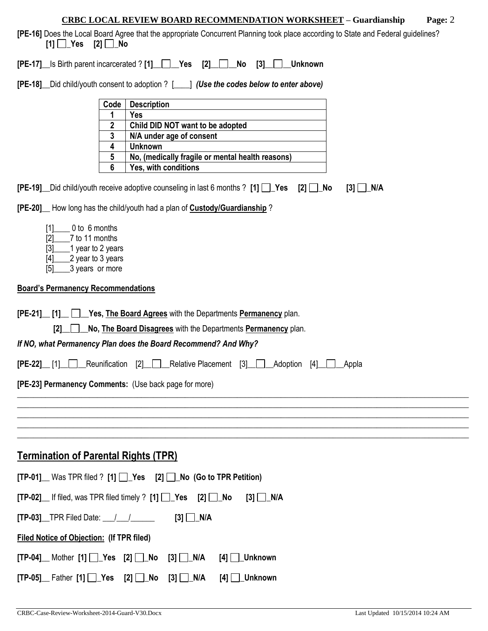| <b>CRBC LOCAL REVIEW BOARD RECOMMENDATION WORKSHEET – Guardianship</b> | Page: 2 |
|------------------------------------------------------------------------|---------|
|                                                                        |         |

**[PE-16]** Does the Local Board Agree that the appropriate Concurrent Planning took place according to State and Federal guidelines?  $[1]$   $\bigcap$  Yes  $[2]$   $\bigcap$  No

**[PE-17]\_\_**Is Birth parent incarcerated ? **[1]\_\_ \_\_Yes [2]\_\_ \_\_No [3]\_\_ \_\_Unknown**

**[PE-18]\_\_**Did child/youth consent to adoption ? [\_\_\_\_] *(Use the codes below to enter above)*

| Code | <b>Description</b>                               |
|------|--------------------------------------------------|
|      | Yes                                              |
| 2    | Child DID NOT want to be adopted                 |
| 3    | N/A under age of consent                         |
|      | <b>Unknown</b>                                   |
| 5    | No, (medically fragile or mental health reasons) |
| 6    | Yes, with conditions                             |

**[PE-19]** Did child/youth receive adoptive counseling in last 6 months ? [1]  $\Box$  Yes [2]  $\Box$  No [3]  $\Box$  N/A

**[PE-20]\_\_** How long has the child/youth had a plan of **Custody/Guardianship** ?

[1]\_\_\_\_ 0 to 6 months  $[2]$  7 to 11 months<br> $[3]$  1 year to 2 year  $\_$ 1 year to 2 years  $[4]$   $2$  year to 3 years [5] 3 years or more

#### **Board's Permanency Recommendations**

| <b>[PE-21]</b> [1] <b>PE-21]</b> [1] <b>Pes, The Board Agrees</b> with the Departments <b>Permanency</b> plan.  |
|-----------------------------------------------------------------------------------------------------------------|
| No, The Board Disagrees with the Departments Permanency plan.<br>$\begin{array}{c c} \hline \end{array}$        |
| If NO, what Permanency Plan does the Board Recommend? And Why?                                                  |
| <b>[PE-22]</b> [1] Reunification [2] Relative Placement [3] Adoption [4] Appla                                  |
| [PE-23] Permanency Comments: (Use back page for more)                                                           |
|                                                                                                                 |
|                                                                                                                 |
|                                                                                                                 |
| <b>Termination of Parental Rights (TPR)</b>                                                                     |
| $[TP-01]$ Was TPR filed ? [1] $\Box$ Yes [2] $\Box$ No (Go to TPR Petition)                                     |
| $[TP-02]$ If filed, was TPR filed timely ? $[1]$ $\Box$ Yes $[2]$ $\Box$ No<br>$[3]$ $\Box$ N/A                 |
| $[3]$ $\Box$ N/A                                                                                                |
| <b>Filed Notice of Objection: (If TPR filed)</b>                                                                |
| $[TP-04]$ Mother $[1]$ $\Box$ Yes $[2]$ $\Box$ No $[3]$ $\Box$ N/A<br>$[4]$ $\Box$ Unknown                      |
| $[TP-05]$ Father $[1]$ $\rightarrow$ Yes $[2]$ $\rightarrow$ No $[3]$ $\rightarrow$ N/A<br>$[4]$ $\Box$ Unknown |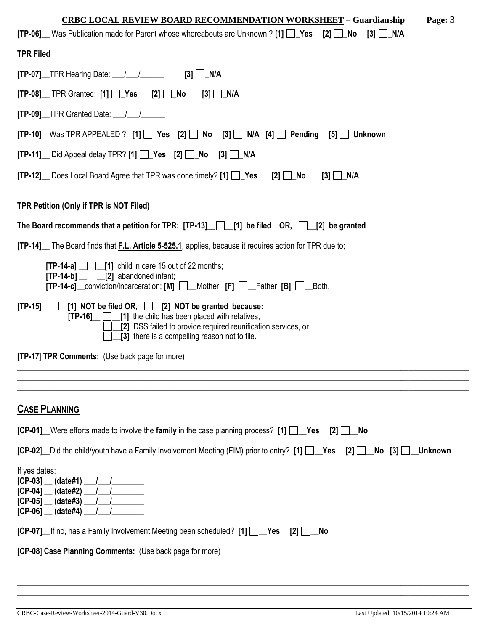| <b>CRBC LOCAL REVIEW BOARD RECOMMENDATION WORKSHEET - Guardianship</b><br>Page: 3                                                                                                                                                       |
|-----------------------------------------------------------------------------------------------------------------------------------------------------------------------------------------------------------------------------------------|
| <b>[TP-06]</b> Was Publication made for Parent whose whereabouts are Unknown ? [1] $\Box$ Yes [2] $\Box$ No [3] $\Box$ N/A                                                                                                              |
| <b>TPR Filed</b>                                                                                                                                                                                                                        |
| $[TP-07]$ TPR Hearing Date: $\angle$ / $\angle$ [3] $\Box$ N/A                                                                                                                                                                          |
| $[TP-08]$ TPR Granted: $[1]$ $\Box$ Yes $[2]$ $\Box$ No                                                                                                                                                                                 |
| $[TP-09]$ TPR Granted Date: $\frac{1}{\sqrt{2}}$                                                                                                                                                                                        |
| $[TP-10]$ Was TPR APPEALED ?: $[1]$ $[2]$ $[3]$ $[3]$ $[3]$ $[4]$ $[4]$ $[2]$ $[5]$ $[3]$ $[5]$ $[5]$ $[6]$ $[7]$                                                                                                                       |
| $[TP-11]$ Did Appeal delay TPR? $[1]$ Yes $[2]$ No $[3]$ N/A                                                                                                                                                                            |
| $[2]$ No<br><b>[TP-12]</b> Does Local Board Agree that TPR was done timely? [1] <b>Pes</b><br>$[3]$ $\Box$ N/A                                                                                                                          |
| <b>TPR Petition (Only if TPR is NOT Filed)</b>                                                                                                                                                                                          |
| The Board recommends that a petition for TPR: $[TP-13]$ [1] be filed OR, 12] be granted                                                                                                                                                 |
| [TP-14] The Board finds that F.L. Article 5-525.1, applies, because it requires action for TPR due to;                                                                                                                                  |
| $[TP-14-a]$ _ $[1]$ child in care 15 out of 22 months;<br>$[TP-14-b]$ $[2]$ abandoned infant;<br>[TP-14-c]_conviction/incarceration; [M] □_Mother [F] □_Father [B] □_Both.                                                              |
| [TP-15] [1] NOT be filed OR, [2] NOT be granted because:<br>$[TP-16]$ $[1]$ the child has been placed with relatives,<br>[2] DSS failed to provide required reunification services, or<br>[3] there is a compelling reason not to file. |
| [TP-17] TPR Comments: (Use back page for more)                                                                                                                                                                                          |
|                                                                                                                                                                                                                                         |
|                                                                                                                                                                                                                                         |
| <b>CASE PLANNING</b>                                                                                                                                                                                                                    |
| $[CP-01]$ Were efforts made to involve the family in the case planning process? [1] $\Box$ Yes<br>$[2]$<br>No.                                                                                                                          |
| [CP-02] Did the child/youth have a Family Involvement Meeting (FIM) prior to entry? [1] [CP-02]<br>$[2]$ $\Box$<br><b>Unknown</b>                                                                                                       |
| If yes dates:<br>$[CP-03]$ (date#1) /<br>$[CP-04]$<br>(data#2)<br>$[CP-05]$<br>(data#3)<br>$[CP-06]$ (date#4)                                                                                                                           |
| <b>[CP-07]</b> If no, has a Family Involvement Meeting been scheduled? [1] <b>Pes</b><br>[2]<br><b>No</b>                                                                                                                               |
| [CP-08] Case Planning Comments: (Use back page for more)                                                                                                                                                                                |
|                                                                                                                                                                                                                                         |
|                                                                                                                                                                                                                                         |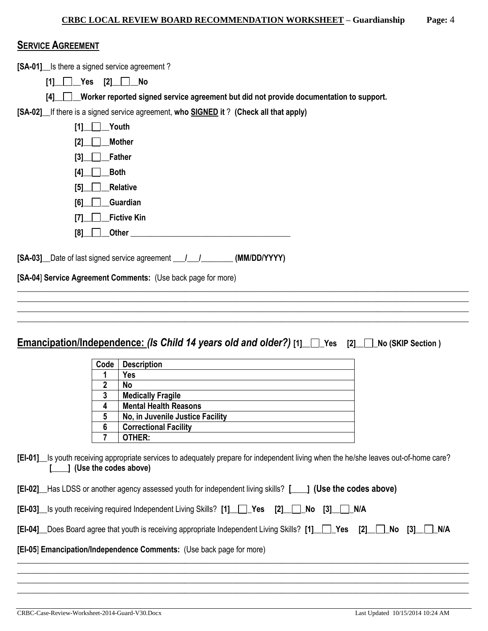#### **SERVICE AGREEMENT**

**[SA-01]\_\_**Is there a signed service agreement ?

**[1]\_\_ \_\_Yes [2]\_\_ \_\_No** 

**[4]\_\_ \_\_Worker reported signed service agreement but did not provide documentation to support.** 

**[SA-02]\_\_**If there is a signed service agreement, **who SIGNED it** ? **(Check all that apply)**

| Youth<br>[1]                |  |
|-----------------------------|--|
| <b>Mother</b><br>[2]        |  |
| <b>Father</b><br>[3]        |  |
| <b>Both</b><br>$[4]$        |  |
| <b>Relative</b><br>[5]      |  |
| Guardian<br>[6]             |  |
| <b>Fictive Kin</b><br>$[7]$ |  |
| <b>Other</b><br>[8]         |  |

**[SA-03]\_\_**Date of last signed service agreement **\_\_\_/\_\_\_/\_\_\_\_\_\_\_\_ (MM/DD/YYYY)**

**[SA-04**] **Service Agreement Comments:** (Use back page for more)

|  | <b>Emancipation/Independence: (Is Child 14 years old and older?)</b> [1] $\Box$ Yes [2] $\Box$ No (SKIP Section) |  |  |  |  |
|--|------------------------------------------------------------------------------------------------------------------|--|--|--|--|
|--|------------------------------------------------------------------------------------------------------------------|--|--|--|--|

\_\_\_\_\_\_\_\_\_\_\_\_\_\_\_\_\_\_\_\_\_\_\_\_\_\_\_\_\_\_\_\_\_\_\_\_\_\_\_\_\_\_\_\_\_\_\_\_\_\_\_\_\_\_\_\_\_\_\_\_\_\_\_\_\_\_\_\_\_\_\_\_\_\_\_\_\_\_\_\_\_\_\_\_\_\_\_\_\_\_\_\_\_\_\_\_\_\_\_\_\_\_\_\_\_\_\_\_\_\_\_\_\_ \_\_\_\_\_\_\_\_\_\_\_\_\_\_\_\_\_\_\_\_\_\_\_\_\_\_\_\_\_\_\_\_\_\_\_\_\_\_\_\_\_\_\_\_\_\_\_\_\_\_\_\_\_\_\_\_\_\_\_\_\_\_\_\_\_\_\_\_\_\_\_\_\_\_\_\_\_\_\_\_\_\_\_\_\_\_\_\_\_\_\_\_\_\_\_\_\_\_\_\_\_\_\_\_\_\_\_\_\_\_\_\_\_ \_\_\_\_\_\_\_\_\_\_\_\_\_\_\_\_\_\_\_\_\_\_\_\_\_\_\_\_\_\_\_\_\_\_\_\_\_\_\_\_\_\_\_\_\_\_\_\_\_\_\_\_\_\_\_\_\_\_\_\_\_\_\_\_\_\_\_\_\_\_\_\_\_\_\_\_\_\_\_\_\_\_\_\_\_\_\_\_\_\_\_\_\_\_\_\_\_\_\_\_\_\_\_\_\_\_\_\_\_\_\_\_\_ \_\_\_\_\_\_\_\_\_\_\_\_\_\_\_\_\_\_\_\_\_\_\_\_\_\_\_\_\_\_\_\_\_\_\_\_\_\_\_\_\_\_\_\_\_\_\_\_\_\_\_\_\_\_\_\_\_\_\_\_\_\_\_\_\_\_\_\_\_\_\_\_\_\_\_\_\_\_\_\_\_\_\_\_\_\_\_\_\_\_\_\_\_\_\_\_\_\_\_\_\_\_\_\_\_\_\_\_\_\_\_\_\_

| Code | <b>Description</b>               |
|------|----------------------------------|
|      | Yes                              |
| 2    | No                               |
| 3    | <b>Medically Fragile</b>         |
|      | <b>Mental Health Reasons</b>     |
| 5    | No, in Juvenile Justice Facility |
| 6    | <b>Correctional Facility</b>     |
|      | OTHER:                           |

**[EI-01]\_\_**Is youth receiving appropriate services to adequately prepare for independent living when the he/she leaves out-of-home care? **[\_\_\_\_] (Use the codes above)**

| [EI-02] Has LDSS or another agency assessed youth for independent living skills? [101] (Use the codes above) |  |  |
|--------------------------------------------------------------------------------------------------------------|--|--|
| [EI-03] Is youth receiving required Independent Living Skills? [1] J Yes [2] No [3] NA                       |  |  |

**[EI-04]\_\_**Does Board agree that youth is receiving appropriate Independent Living Skills? **[1]\_\_ \_Yes [2]\_\_ \_No [3]\_\_ \_N/A**

\_\_\_\_\_\_\_\_\_\_\_\_\_\_\_\_\_\_\_\_\_\_\_\_\_\_\_\_\_\_\_\_\_\_\_\_\_\_\_\_\_\_\_\_\_\_\_\_\_\_\_\_\_\_\_\_\_\_\_\_\_\_\_\_\_\_\_\_\_\_\_\_\_\_\_\_\_\_\_\_\_\_\_\_\_\_\_\_\_\_\_\_\_\_\_\_\_\_\_\_\_\_\_\_\_\_\_\_\_\_\_\_\_ \_\_\_\_\_\_\_\_\_\_\_\_\_\_\_\_\_\_\_\_\_\_\_\_\_\_\_\_\_\_\_\_\_\_\_\_\_\_\_\_\_\_\_\_\_\_\_\_\_\_\_\_\_\_\_\_\_\_\_\_\_\_\_\_\_\_\_\_\_\_\_\_\_\_\_\_\_\_\_\_\_\_\_\_\_\_\_\_\_\_\_\_\_\_\_\_\_\_\_\_\_\_\_\_\_\_\_\_\_\_\_\_\_ \_\_\_\_\_\_\_\_\_\_\_\_\_\_\_\_\_\_\_\_\_\_\_\_\_\_\_\_\_\_\_\_\_\_\_\_\_\_\_\_\_\_\_\_\_\_\_\_\_\_\_\_\_\_\_\_\_\_\_\_\_\_\_\_\_\_\_\_\_\_\_\_\_\_\_\_\_\_\_\_\_\_\_\_\_\_\_\_\_\_\_\_\_\_\_\_\_\_\_\_\_\_\_\_\_\_\_\_\_\_\_\_\_ \_\_\_\_\_\_\_\_\_\_\_\_\_\_\_\_\_\_\_\_\_\_\_\_\_\_\_\_\_\_\_\_\_\_\_\_\_\_\_\_\_\_\_\_\_\_\_\_\_\_\_\_\_\_\_\_\_\_\_\_\_\_\_\_\_\_\_\_\_\_\_\_\_\_\_\_\_\_\_\_\_\_\_\_\_\_\_\_\_\_\_\_\_\_\_\_\_\_\_\_\_\_\_\_\_\_\_\_\_\_\_\_\_

#### **[EI-05**] **Emancipation/Independence Comments:** (Use back page for more)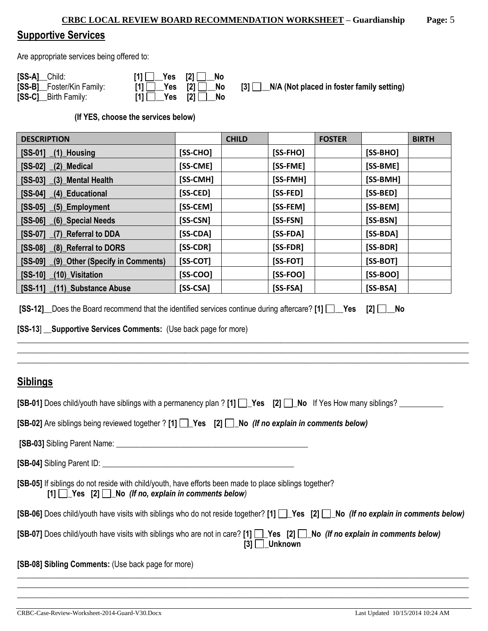## **Supportive Services**

Are appropriate services being offered to:

| [SS-A] Child:             | $[1]$ $\begin{array}{ c c c c c } \hline \end{array}$ $\begin{array}{ c c c c c } \hline \end{array}$ $\begin{array}{ c c c c c } \hline \end{array}$ $\begin{array}{ c c c c c } \hline \end{array}$ No |  |
|---------------------------|----------------------------------------------------------------------------------------------------------------------------------------------------------------------------------------------------------|--|
| [SS-B] Foster/Kin Family: | $[1]$ $\begin{array}{ccc} \end{array}$ Yes $[2]$ $\begin{array}{ccc} \end{array}$ No                                                                                                                     |  |
| [SS-C] __ Birth Family:   | $[1]$ $\begin{array}{ c c c c c } \hline \end{array}$ Yes $[2]$ $\begin{array}{ c c c c c } \hline \end{array}$ No                                                                                       |  |

**[3]**  $\Box$ **N/A (Not placed in foster family setting)** 

**(If YES, choose the services below)** 

| <b>DESCRIPTION</b>                      |            | <b>CHILD</b> |            | <b>FOSTER</b> |            | <b>BIRTH</b> |
|-----------------------------------------|------------|--------------|------------|---------------|------------|--------------|
| $[SS-01]$ $(1)$ Housing                 | [SS-CHO]   |              | $[SS-FHO]$ |               | [SS-BHO]   |              |
| $[SS-02]$ $(2)$ Medical                 | [SS-CME]   |              | [SS-FME]   |               | [SS-BME]   |              |
| [SS-03] (3) Mental Health               | [SS-CMH]   |              | [SS-FMH]   |               | [SS-BMH]   |              |
| [SS-04] (4) Educational                 | [SS-CED]   |              | [SS-FED]   |               | [SS-BED]   |              |
| $[SS-05]$ $(5)$ Employment              | [SS-CEM]   |              | [SS-FEM]   |               | [SS-BEM]   |              |
| [SS-06] (6) Special Needs               | [SS-CSN]   |              | [SS-FSN]   |               | [SS-BSN]   |              |
| [SS-07] (7) Referral to DDA             | $[SS-CDA]$ |              | $[SS-FDA]$ |               | [SS-BDA]   |              |
| [SS-08] (8) Referral to DORS            | [SS-CDR]   |              | [SS-FDR]   |               | [SS-BDR]   |              |
| [SS-09] (9) Other (Specify in Comments) | $[SS-COT]$ |              | [SS-FOT]   |               | [SS-BOT]   |              |
| $[SS-10]$ $(10)$ Visitation             | $[SS-COO]$ |              | $[SS-FOO]$ |               | [SS-BOO]   |              |
| [SS-11] (11) Substance Abuse            | $[SS-CSA]$ |              | $[SS-FSA]$ |               | $[SS-BSA]$ |              |

|  |  | [SS-12] _Does the Board recommend that the identified services continue during aftercare? [1] [ _ _ Yes [2] [ _ _ No |  |  |  |  |  |  |
|--|--|----------------------------------------------------------------------------------------------------------------------|--|--|--|--|--|--|
|--|--|----------------------------------------------------------------------------------------------------------------------|--|--|--|--|--|--|

**[SS-13**] \_\_**Supportive Services Comments:** (Use back page for more)

## **Siblings**

| [SB-02] Are siblings being reviewed together ? [1] $\Box$ Yes [2] $\Box$ No (If no explain in comments below)                                                                                                                        |  |  |  |  |
|--------------------------------------------------------------------------------------------------------------------------------------------------------------------------------------------------------------------------------------|--|--|--|--|
| [SB-03] Sibling Parent Name: <b>Campaign Contract Contract Contract Contract Contract Contract Contract Contract Contract Contract Contract Contract Contract Contract Contract Contract Contract Contract Contract Contract Con</b> |  |  |  |  |
|                                                                                                                                                                                                                                      |  |  |  |  |
| [SB-05] If siblings do not reside with child/youth, have efforts been made to place siblings together?<br>$[1]$ Yes $[2]$ No (If no, explain in comments below)                                                                      |  |  |  |  |
| [SB-06] Does child/youth have visits with siblings who do not reside together? [1] Pes [2] No (If no explain in comments below)                                                                                                      |  |  |  |  |
| [SB-07] Does child/youth have visits with siblings who are not in care? [1] T Yes [2] No (If no explain in comments below)<br>$ 3 $   Unknown                                                                                        |  |  |  |  |
| [SB-08] Sibling Comments: (Use back page for more)                                                                                                                                                                                   |  |  |  |  |
|                                                                                                                                                                                                                                      |  |  |  |  |

\_\_\_\_\_\_\_\_\_\_\_\_\_\_\_\_\_\_\_\_\_\_\_\_\_\_\_\_\_\_\_\_\_\_\_\_\_\_\_\_\_\_\_\_\_\_\_\_\_\_\_\_\_\_\_\_\_\_\_\_\_\_\_\_\_\_\_\_\_\_\_\_\_\_\_\_\_\_\_\_\_\_\_\_\_\_\_\_\_\_\_\_\_\_\_\_\_\_\_\_\_\_\_\_\_\_\_\_\_\_\_\_\_

\_\_\_\_\_\_\_\_\_\_\_\_\_\_\_\_\_\_\_\_\_\_\_\_\_\_\_\_\_\_\_\_\_\_\_\_\_\_\_\_\_\_\_\_\_\_\_\_\_\_\_\_\_\_\_\_\_\_\_\_\_\_\_\_\_\_\_\_\_\_\_\_\_\_\_\_\_\_\_\_\_\_\_\_\_\_\_\_\_\_\_\_\_\_\_\_\_\_\_\_\_\_\_\_\_\_\_\_\_\_\_\_\_ \_\_\_\_\_\_\_\_\_\_\_\_\_\_\_\_\_\_\_\_\_\_\_\_\_\_\_\_\_\_\_\_\_\_\_\_\_\_\_\_\_\_\_\_\_\_\_\_\_\_\_\_\_\_\_\_\_\_\_\_\_\_\_\_\_\_\_\_\_\_\_\_\_\_\_\_\_\_\_\_\_\_\_\_\_\_\_\_\_\_\_\_\_\_\_\_\_\_\_\_\_\_\_\_\_\_\_\_\_\_\_\_\_ \_\_\_\_\_\_\_\_\_\_\_\_\_\_\_\_\_\_\_\_\_\_\_\_\_\_\_\_\_\_\_\_\_\_\_\_\_\_\_\_\_\_\_\_\_\_\_\_\_\_\_\_\_\_\_\_\_\_\_\_\_\_\_\_\_\_\_\_\_\_\_\_\_\_\_\_\_\_\_\_\_\_\_\_\_\_\_\_\_\_\_\_\_\_\_\_\_\_\_\_\_\_\_\_\_\_\_\_\_\_\_\_\_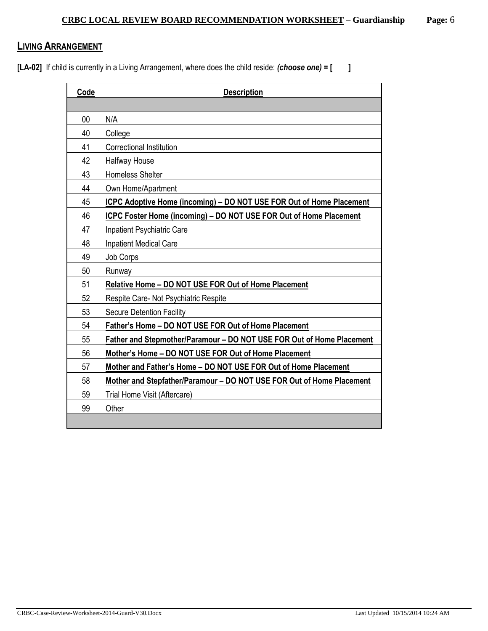## **LIVING ARRANGEMENT**

**[LA-02]** If child is currently in a Living Arrangement, where does the child reside: *(choose one)* **= [ ]**

| Code | <b>Description</b>                                                        |
|------|---------------------------------------------------------------------------|
|      |                                                                           |
| 00   | N/A                                                                       |
| 40   | College                                                                   |
| 41   | <b>Correctional Institution</b>                                           |
| 42   | <b>Halfway House</b>                                                      |
| 43   | Homeless Shelter                                                          |
| 44   | Own Home/Apartment                                                        |
| 45   | ICPC Adoptive Home (incoming) – DO NOT USE FOR Out of Home Placement      |
| 46   | <b>ICPC Foster Home (incoming) - DO NOT USE FOR Out of Home Placement</b> |
| 47   | Inpatient Psychiatric Care                                                |
| 48   | Inpatient Medical Care                                                    |
| 49   | <b>Job Corps</b>                                                          |
| 50   | Runway                                                                    |
| 51   | Relative Home - DO NOT USE FOR Out of Home Placement                      |
| 52   | Respite Care- Not Psychiatric Respite                                     |
| 53   | <b>Secure Detention Facility</b>                                          |
| 54   | Father's Home - DO NOT USE FOR Out of Home Placement                      |
| 55   | Father and Stepmother/Paramour - DO NOT USE FOR Out of Home Placement     |
| 56   | Mother's Home - DO NOT USE FOR Out of Home Placement                      |
| 57   | Mother and Father's Home - DO NOT USE FOR Out of Home Placement           |
| 58   | Mother and Stepfather/Paramour - DO NOT USE FOR Out of Home Placement     |
| 59   | Trial Home Visit (Aftercare)                                              |
| 99   | Other                                                                     |
|      |                                                                           |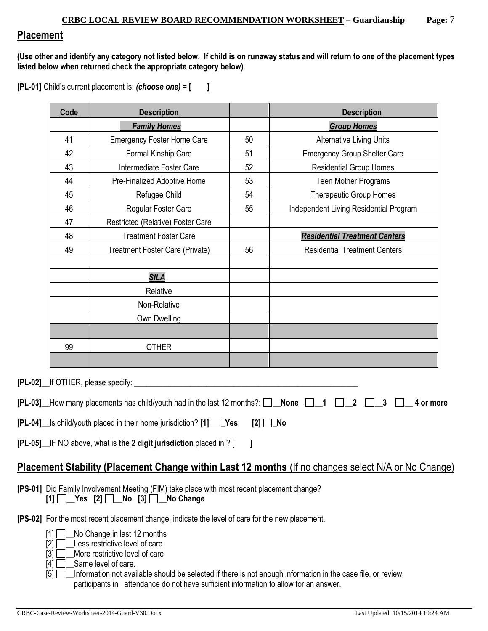## **Placement**

**(Use other and identify any category not listed below. If child is on runaway status and will return to one of the placement types listed below when returned check the appropriate category below)**.

**[PL-01]** Child's current placement is: *(choose one)* **= [ ]**

| Code | <b>Description</b>                                                                                                                                    |          | <b>Description</b>                                                                                         |
|------|-------------------------------------------------------------------------------------------------------------------------------------------------------|----------|------------------------------------------------------------------------------------------------------------|
|      | <b>Family Homes</b>                                                                                                                                   |          | <b>Group Homes</b>                                                                                         |
| 41   | <b>Emergency Foster Home Care</b>                                                                                                                     | 50       | <b>Alternative Living Units</b>                                                                            |
| 42   | Formal Kinship Care                                                                                                                                   | 51       | <b>Emergency Group Shelter Care</b>                                                                        |
| 43   | Intermediate Foster Care                                                                                                                              | 52       | <b>Residential Group Homes</b>                                                                             |
| 44   | Pre-Finalized Adoptive Home                                                                                                                           | 53       | Teen Mother Programs                                                                                       |
| 45   | Refugee Child                                                                                                                                         | 54       | <b>Therapeutic Group Homes</b>                                                                             |
| 46   | Regular Foster Care                                                                                                                                   | 55       | Independent Living Residential Program                                                                     |
| 47   | Restricted (Relative) Foster Care                                                                                                                     |          |                                                                                                            |
| 48   | <b>Treatment Foster Care</b>                                                                                                                          |          | <b>Residential Treatment Centers</b>                                                                       |
| 49   | Treatment Foster Care (Private)                                                                                                                       | 56       | <b>Residential Treatment Centers</b>                                                                       |
|      | <b>SILA</b>                                                                                                                                           |          |                                                                                                            |
|      | Relative                                                                                                                                              |          |                                                                                                            |
|      | Non-Relative                                                                                                                                          |          |                                                                                                            |
|      | Own Dwelling                                                                                                                                          |          |                                                                                                            |
|      |                                                                                                                                                       |          |                                                                                                            |
| 99   | <b>OTHER</b>                                                                                                                                          |          |                                                                                                            |
|      |                                                                                                                                                       |          |                                                                                                            |
|      | [PL-02] lf OTHER, please specify:                                                                                                                     |          |                                                                                                            |
|      | <b>[PL-03]</b> How many placements has child/youth had in the last 12 months?: $\Box$ None $\Box$ 1                                                   |          | 2<br>3<br>4 or more                                                                                        |
|      | [PL-04]_ls child/youth placed in their home jurisdiction? [1] □ Yes                                                                                   | $[2]$ No |                                                                                                            |
|      | [PL-05] IF NO above, what is the 2 digit jurisdiction placed in ? [                                                                                   |          |                                                                                                            |
|      |                                                                                                                                                       |          | <b>Placement Stability (Placement Change within Last 12 months (If no changes select N/A or No Change)</b> |
|      | [PS-01] Did Family Involvement Meeting (FIM) take place with most recent placement change?<br>$[1]$ $\Box$ Yes $[2]$ $\Box$ No $[3]$ $\Box$ No Change |          |                                                                                                            |
|      | [PS-02] For the most recent placement change, indicate the level of care for the new placement.                                                       |          |                                                                                                            |

[1]  $\Box$  No Change in last 12 months

 $[2]$   $\Box$  Less restrictive level of care

[3]  $\Box$  More restrictive level of care

 $[4]$   $\Box$  Same level of care.

[5]  $\Box$  Information not available should be selected if there is not enough information in the case file, or review participants in attendance do not have sufficient information to allow for an answer.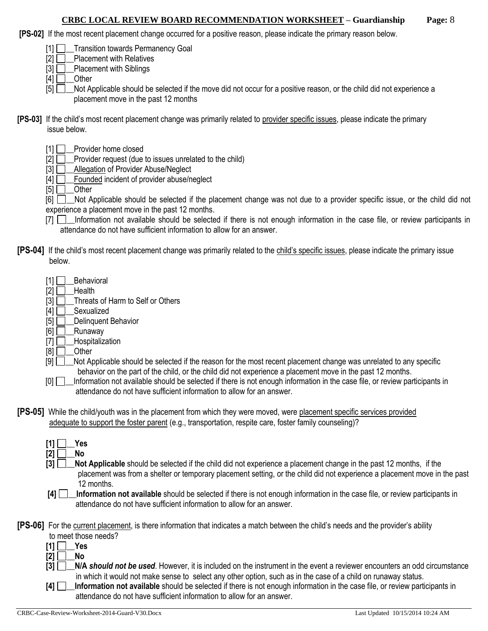#### **CRBC LOCAL REVIEW BOARD RECOMMENDATION WORKSHEET – Guardianship Page:** 8

- **[PS-02]** If the most recent placement change occurred for a positive reason, please indicate the primary reason below.
	- [1] **Transition towards Permanency Goal**
	- $[2]$   $\Box$  Placement with Relatives
	- $[3]$  Placement with Siblings
	- $[4]$  Other

[5] Not Applicable should be selected if the move did not occur for a positive reason, or the child did not experience a placement move in the past 12 months

- **[PS-03]** If the child's most recent placement change was primarily related to provider specific issues, please indicate the primary issue below.
	- [1] Provider home closed
	- [2] **D**\_Provider request (due to issues unrelated to the child)
	- [3] **Allegation of Provider Abuse/Neglect**
	- $[4]$   $\Box$  Founded incident of provider abuse/neglect
	- $[5]$  Other

[6]  $\Box$  Not Applicable should be selected if the placement change was not due to a provider specific issue, or the child did not experience a placement move in the past 12 months.

- [7]  $\Box$  Information not available should be selected if there is not enough information in the case file, or review participants in attendance do not have sufficient information to allow for an answer.
- **[PS-04]** If the child's most recent placement change was primarily related to the child's specific issues, please indicate the primary issue below.
	- $[1]$  Behavioral
	- $[2]$  Health
	- [3] **Threats of Harm to Self or Others**
	- [4] **D**\_Sexualized
	- $[5]$  Delinquent Behavior
	- $[6]$  Runaway
	- [7] **\_\_\_Hospitalization**
	- $[8]$  Other
	- [9]  $\Box$  Not Applicable should be selected if the reason for the most recent placement change was unrelated to any specific behavior on the part of the child, or the child did not experience a placement move in the past 12 months.
	- [0]  $\Box$  Information not available should be selected if there is not enough information in the case file, or review participants in attendance do not have sufficient information to allow for an answer.
- **[PS-05]** While the child/youth was in the placement from which they were moved, were placement specific services provided adequate to support the foster parent (e.g., transportation, respite care, foster family counseling)?
	- $[1] \Box$  Yes  $[2]$  No
	- **[3]**  $\Box$  **Not Applicable** should be selected if the child did not experience a placement change in the past 12 months, if the placement was from a shelter or temporary placement setting, or the child did not experience a placement move in the past 12 months.
	- **[4] \_\_Information not available** should be selected if there is not enough information in the case file, or review participants in attendance do not have sufficient information to allow for an answer.

**[PS-06]** For the current placement, is there information that indicates a match between the child's needs and the provider's ability

- to meet those needs?
- $[1]$   $\Box$  Yes
- **[2] \_\_No**
- **[3] \_\_N/A** *should not be used*. However, it is included on the instrument in the event a reviewer encounters an odd circumstance in which it would not make sense to select any other option, such as in the case of a child on runaway status.
- **[4] \_\_Information not available** should be selected if there is not enough information in the case file, or review participants in attendance do not have sufficient information to allow for an answer.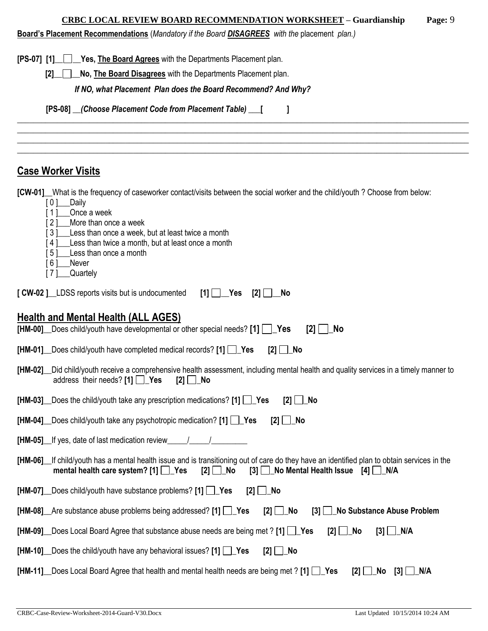## **CRBC LOCAL REVIEW BOARD RECOMMENDATION WORKSHEET – Guardianship Page:** 9

**Board's Placement Recommendations** (*Mandatory if the Board DISAGREES with the* placement *plan.)*

| <u>Board S Placement Recommendations</u> ( <i>Mandatory in the Board <u>DisAGREES</u> With the placement plan.)</i>                                                                                                                                                                                                                                                                              |  |  |  |  |  |  |  |
|--------------------------------------------------------------------------------------------------------------------------------------------------------------------------------------------------------------------------------------------------------------------------------------------------------------------------------------------------------------------------------------------------|--|--|--|--|--|--|--|
| [PS-07] [1] Yes, The Board Agrees with the Departments Placement plan.                                                                                                                                                                                                                                                                                                                           |  |  |  |  |  |  |  |
| No, The Board Disagrees with the Departments Placement plan.<br>[2]                                                                                                                                                                                                                                                                                                                              |  |  |  |  |  |  |  |
| If NO, what Placement Plan does the Board Recommend? And Why?                                                                                                                                                                                                                                                                                                                                    |  |  |  |  |  |  |  |
| [PS-08] __(Choose Placement Code from Placement Table) ___ [                                                                                                                                                                                                                                                                                                                                     |  |  |  |  |  |  |  |
|                                                                                                                                                                                                                                                                                                                                                                                                  |  |  |  |  |  |  |  |
|                                                                                                                                                                                                                                                                                                                                                                                                  |  |  |  |  |  |  |  |
| <b>Case Worker Visits</b>                                                                                                                                                                                                                                                                                                                                                                        |  |  |  |  |  |  |  |
| [CW-01] What is the frequency of caseworker contact/visits between the social worker and the child/youth? Choose from below:<br>[0]<br>_Daily<br>Once a week<br>[1]<br>More than once a week<br>[2]<br>[3]<br>Less than once a week, but at least twice a month<br>Less than twice a month, but at least once a month<br>[4]<br>Less than once a month<br>[5]<br>[6]<br>Never<br>Quartely<br>[7] |  |  |  |  |  |  |  |
| [ CW-02 ]_LDSS reports visits but is undocumented<br>$[1]$ $\Box$ Yes<br>[2]<br>- No                                                                                                                                                                                                                                                                                                             |  |  |  |  |  |  |  |
|                                                                                                                                                                                                                                                                                                                                                                                                  |  |  |  |  |  |  |  |
| Health and Mental Health (ALL AGES)<br>[HM-00] Does child/youth have developmental or other special needs? [1]<br>$ 2 $   $\lfloor$ No                                                                                                                                                                                                                                                           |  |  |  |  |  |  |  |
| [HM-01] Does child/youth have completed medical records? [1] Pes<br>$[2]$ $\Box$ No                                                                                                                                                                                                                                                                                                              |  |  |  |  |  |  |  |
|                                                                                                                                                                                                                                                                                                                                                                                                  |  |  |  |  |  |  |  |
| Did child/youth receive a comprehensive health assessment, including mental health and quality services in a timely manner to<br>[HM-02]___<br>address their needs? [1] $\Box$ Yes<br>$[2]$ No                                                                                                                                                                                                   |  |  |  |  |  |  |  |
| [HM-03] Does the child/youth take any prescription medications? [1] Pes<br>$[2]$ $\Box$ No                                                                                                                                                                                                                                                                                                       |  |  |  |  |  |  |  |
| [HM-04] Does child/youth take any psychotropic medication? [1] Pes<br>$[2]$ $\Box$ No                                                                                                                                                                                                                                                                                                            |  |  |  |  |  |  |  |
| [HM-05] If yes, date of last medication review                                                                                                                                                                                                                                                                                                                                                   |  |  |  |  |  |  |  |
| [HM-06] If child/youth has a mental health issue and is transitioning out of care do they have an identified plan to obtain services in the<br>mental health care system? $[1]$ $\Box$ Yes<br>[3] No Mental Health Issue [4] N/A<br>$[2]$ No                                                                                                                                                     |  |  |  |  |  |  |  |
| $[HM-07]$ Does child/youth have substance problems? $[1]$ $\Box$ Yes<br>_No<br>[2]                                                                                                                                                                                                                                                                                                               |  |  |  |  |  |  |  |
| [HM-08] Are substance abuse problems being addressed? [1] Pes<br><b>No Substance Abuse Problem</b><br>$[2]$ $\Box$ No<br>[3]                                                                                                                                                                                                                                                                     |  |  |  |  |  |  |  |
| [HM-09] Does Local Board Agree that substance abuse needs are being met ? [1] Yes<br>$[3]$ $\Box$ N/A<br>$[2]$ $\Box$ No                                                                                                                                                                                                                                                                         |  |  |  |  |  |  |  |
| [HM-10] Does the child/youth have any behavioral issues? [1] Pes<br>$[2]$ $\Box$ No                                                                                                                                                                                                                                                                                                              |  |  |  |  |  |  |  |
| <b>[HM-11]</b> Does Local Board Agree that health and mental health needs are being met ? [1] $\Box$ Yes<br>$[2]$ $\Box$<br>_No<br>[3]<br>∐_N/A                                                                                                                                                                                                                                                  |  |  |  |  |  |  |  |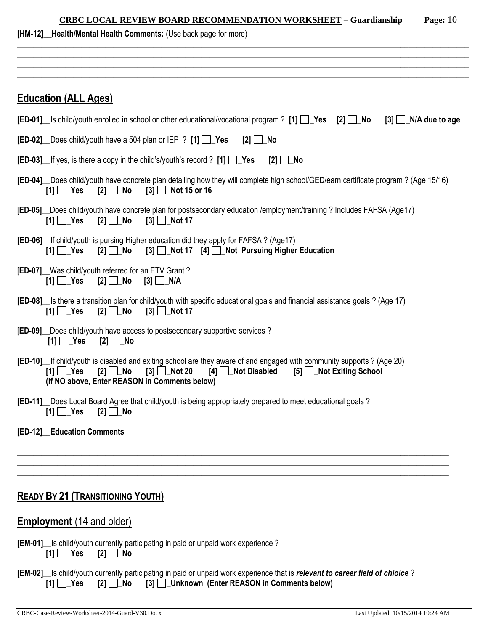| Page: $10$<br><b>CRBC LOCAL REVIEW BOARD RECOMMENDATION WORKSHEET - Guardianship</b><br>[HM-12] Health/Mental Health Comments: (Use back page for more)                                                                                                                                             |
|-----------------------------------------------------------------------------------------------------------------------------------------------------------------------------------------------------------------------------------------------------------------------------------------------------|
|                                                                                                                                                                                                                                                                                                     |
| <b>Education (ALL Ages)</b>                                                                                                                                                                                                                                                                         |
| <b>[ED-01]</b> Is child/youth enrolled in school or other educational/vocational program ? [1] $\Box$ Yes [2] $\Box$ No<br>$[3]$ $\Box$ N/A due to age                                                                                                                                              |
| <b>[ED-02]</b> Does child/youth have a 504 plan or IEP ? [1] $\Box$ Yes<br>[2] $□$ No                                                                                                                                                                                                               |
| <b>[ED-03]</b> If yes, is there a copy in the child's/youth's record ? [1] $\Box$ Yes<br>$[2]$ $\Box$ No                                                                                                                                                                                            |
| [ED-04] Does child/youth have concrete plan detailing how they will complete high school/GED/earn certificate program? (Age 15/16)<br>$[2]$ No<br>$[3]$ Not 15 or 16<br>$[1]$ $\Box$ Yes                                                                                                            |
| [ED-05] Does child/youth have concrete plan for postsecondary education /employment/training ? Includes FAFSA (Age17)<br>$[3]$ Not 17<br>$[1]$ $\Box$ Yes<br>$[2]$ $\Box$ No                                                                                                                        |
| <b>[ED-06]</b> If child/youth is pursing Higher education did they apply for FAFSA? (Age17)<br>[3] Not 17 [4] Not Pursuing Higher Education<br>$[1]$ $\Box$ Yes<br>$[2]$ No                                                                                                                         |
| [ED-07] Was child/youth referred for an ETV Grant?<br>$[1]$ $\Box$ Yes<br>[2] $□$ No                                                                                                                                                                                                                |
| [ED-08] s there a transition plan for child/youth with specific educational goals and financial assistance goals? (Age 17)<br>$[2]$ $\Box$ No<br>$[3]$ Mot 17<br>$[1]$ $\Box$ Yes                                                                                                                   |
| [ED-09] Does child/youth have access to postsecondary supportive services ?<br>$[1]$ $\Box$ Yes<br>$[2]$ $\Box$ No                                                                                                                                                                                  |
| [ED-10] If child/youth is disabled and exiting school are they aware of and engaged with community supports? (Age 20)<br>[5] Not Exiting School<br>$[1]$ $\Box$ Yes<br>$[2]$ No<br>$[3]$ Not 20<br><b>Not Disabled</b><br>$\lceil 4 \rceil \rceil$<br>(If NO above, Enter REASON in Comments below) |
| [ED-11] Does Local Board Agree that child/youth is being appropriately prepared to meet educational goals?<br>$[1]$ $\Box$ Yes<br>$[2]$ $\Box$ No                                                                                                                                                   |
| [ED-12] Education Comments                                                                                                                                                                                                                                                                          |
|                                                                                                                                                                                                                                                                                                     |
| <b>READY BY 21 (TRANSITIONING YOUTH)</b>                                                                                                                                                                                                                                                            |
| <b>Employment</b> (14 and older)                                                                                                                                                                                                                                                                    |

|                                  | <b>[EM-01]</b> Is child/youth currently participating in paid or unpaid work experience? |
|----------------------------------|------------------------------------------------------------------------------------------|
| $[1]$ $\Box$ Yes $[2]$ $\Box$ No |                                                                                          |

|  | [EM-02] Is child/youth currently participating in paid or unpaid work experience that is relevant to career field of chioice? |  |
|--|-------------------------------------------------------------------------------------------------------------------------------|--|
|  | [1] [1] Yes [2] [1] No [3] [1] Unknown (Enter REASON in Comments below)                                                       |  |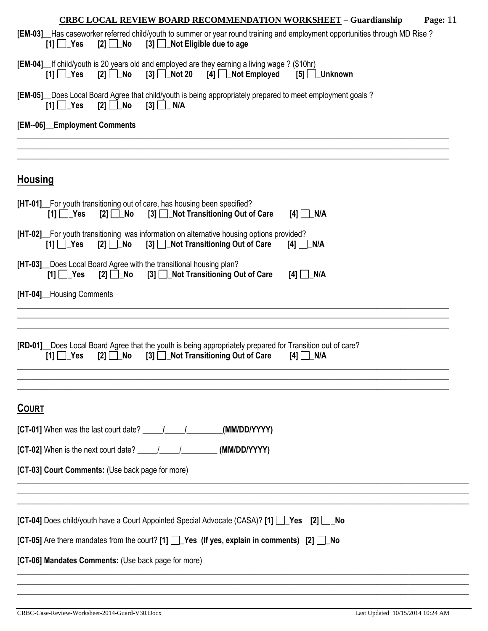| <b>CRBC LOCAL REVIEW BOARD RECOMMENDATION WORKSHEET - Guardianship</b><br>Page: $11$                                                                                                               |
|----------------------------------------------------------------------------------------------------------------------------------------------------------------------------------------------------|
| [EM-03] Has caseworker referred child/youth to summer or year round training and employment opportunities through MD Rise?<br>[3] <b>Not Eligible due to age</b><br>$[1]$ $\Box$ Yes               |
| [EM-04] If child/youth is 20 years old and employed are they earning a living wage ? (\$10hr)<br>$[2] \ \Box$ No<br>$[3]$ Not 20 $[4]$ Not Employed<br>$[1]$ $\Box$ Yes<br>$[5]$ Unknown           |
| [EM-05] _ Does Local Board Agree that child/youth is being appropriately prepared to meet employment goals?<br>$[2]$ No<br>$[3] \Box N/A$<br>$[1]$ $\Box$ Yes                                      |
| [EM--06]_Employment Comments                                                                                                                                                                       |
|                                                                                                                                                                                                    |
| <b>Housing</b>                                                                                                                                                                                     |
| <b>[HT-01]</b> For youth transitioning out of care, has housing been specified?<br>[3] Not Transitioning Out of Care<br>$[1]$ $\Box$ Yes<br>$[2]$ No<br>$[4]$ N/A                                  |
| [HT-02] For youth transitioning was information on alternative housing options provided?<br>$[2]$ $\Box$ No<br>[3] Not Transitioning Out of Care<br>$[1]$ $\Box$ Yes<br>$[4]$ $\Box$ N/A           |
| [HT-03] Does Local Board Agree with the transitional housing plan?<br>$[2] \square$ No<br>[3] Not Transitioning Out of Care<br>$[1] \square$ Yes<br>$[4]$ $\Box$ N/A                               |
| [HT-04]__Housing Comments                                                                                                                                                                          |
|                                                                                                                                                                                                    |
| [RD-01] Does Local Board Agree that the youth is being appropriately prepared for Transition out of care?<br>[3] Not Transitioning Out of Care<br>[2] <b>∐_No</b><br>$[1]$ Yes<br>$[4]$ $\Box$ N/A |
| <b>COURT</b>                                                                                                                                                                                       |
| (MM/DD/YYYY)                                                                                                                                                                                       |
| [CT-02] When is the next court date? $\frac{1}{\sqrt{1-\frac{1}{2}}}\$ (MM/DD/YYYY)                                                                                                                |
| [CT-03] Court Comments: (Use back page for more)                                                                                                                                                   |
|                                                                                                                                                                                                    |
| [CT-04] Does child/youth have a Court Appointed Special Advocate (CASA)? [1] [ Yes [2] [ No                                                                                                        |
| [CT-05] Are there mandates from the court? [1] $\Box$ Yes (If yes, explain in comments) [2] $\Box$ No                                                                                              |
| [CT-06] Mandates Comments: (Use back page for more)                                                                                                                                                |
|                                                                                                                                                                                                    |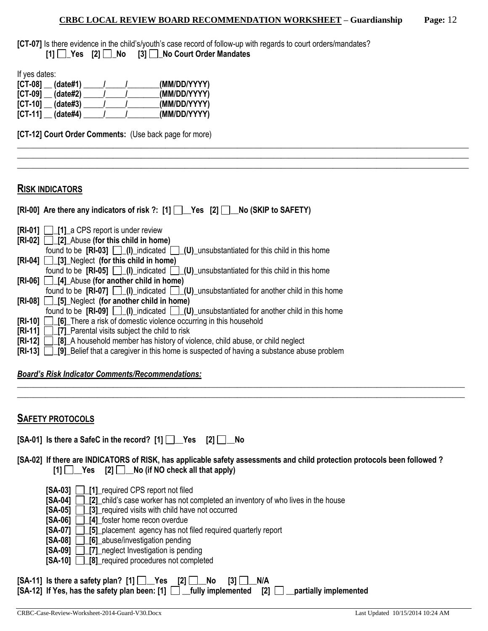\_\_\_\_\_\_\_\_\_\_\_\_\_\_\_\_\_\_\_\_\_\_\_\_\_\_\_\_\_\_\_\_\_\_\_\_\_\_\_\_\_\_\_\_\_\_\_\_\_\_\_\_\_\_\_\_\_\_\_\_\_\_\_\_\_\_\_\_\_\_\_\_\_\_\_\_\_\_\_\_\_\_\_\_\_\_\_\_\_\_\_\_\_\_\_\_\_\_\_\_\_\_\_\_\_\_\_\_\_\_\_\_\_ \_\_\_\_\_\_\_\_\_\_\_\_\_\_\_\_\_\_\_\_\_\_\_\_\_\_\_\_\_\_\_\_\_\_\_\_\_\_\_\_\_\_\_\_\_\_\_\_\_\_\_\_\_\_\_\_\_\_\_\_\_\_\_\_\_\_\_\_\_\_\_\_\_\_\_\_\_\_\_\_\_\_\_\_\_\_\_\_\_\_\_\_\_\_\_\_\_\_\_\_\_\_\_\_\_\_\_\_\_\_\_\_\_ \_\_\_\_\_\_\_\_\_\_\_\_\_\_\_\_\_\_\_\_\_\_\_\_\_\_\_\_\_\_\_\_\_\_\_\_\_\_\_\_\_\_\_\_\_\_\_\_\_\_\_\_\_\_\_\_\_\_\_\_\_\_\_\_\_\_\_\_\_\_\_\_\_\_\_\_\_\_\_\_\_\_\_\_\_\_\_\_\_\_\_\_\_\_\_\_\_\_\_\_\_\_\_\_\_\_\_\_\_\_\_\_\_

**[CT-07]** Is there evidence in the child's/youth's case record of follow-up with regards to court orders/mandates? **[1] \_Yes [2] \_No [3] \_No Court Order Mandates**

If yes dates:

| $[CI-08]$<br>(data#1) | (MM/DD/YYYY) |
|-----------------------|--------------|
| $[CI-09]$<br>(data#2) | (MM/DD/YYYY) |
| $[CI-10]$<br>(data#3) | (MM/DD/YYYY) |
| $[CI-11]$<br>(date#4) | (MM/DD/YYYY) |

**[CT-12] Court Order Comments:** (Use back page for more)

#### **RISK INDICATORS**

| [RI-00] Are there any indicators of risk ?: [1] [D_Yes [2] D_No (SKIP to SAFETY)                         |
|----------------------------------------------------------------------------------------------------------|
|                                                                                                          |
| $\begin{bmatrix} RI-01 \end{bmatrix}$ $\begin{bmatrix} 1 \end{bmatrix}$ a CPS report is under review     |
| $[RI-02]$ [2] Abuse (for this child in home)                                                             |
| found to be $[\text{RI-03}] \quad$ (I) indicated $[\ ]$ (U) unsubstantiated for this child in this home  |
| $[RI-04]$ [3] Neglect (for this child in home)                                                           |
| found to be $[RI-05]$ $\Box$ $(I)$ indicated $\Box$ $(U)$ unsubstantiated for this child in this home    |
| [RI-06] [4] Abuse (for another child in home)                                                            |
| found to be $[RI-07]$ $\Box$ $(I)$ indicated $\Box$ $(U)$ unsubstantiated for another child in this home |
| [RI-08] [5] Neglect (for another child in home)                                                          |
| found to be $[RI-09]$ $\Box$ $(I)$ indicated $\Box$ $(U)$ unsubstantiated for another child in this home |
| <b>[RI-10]</b> [6] There a risk of domestic violence occurring in this household                         |
| <b>[RI-11]</b> [7] Parental visits subject the child to risk                                             |
| <b>[RI-12]</b> [8] A household member has history of violence, child abuse, or child neglect             |
| <b>[RI-13]</b> [9] Belief that a caregiver in this home is suspected of having a substance abuse problem |

*Board's Risk Indicator Comments/Recommendations:* 

### **SAFETY PROTOCOLS**

|  |  | [SA-01] Is there a SafeC in the record? [1] [ Yes [2] [ No |  |  |  |  |  |
|--|--|------------------------------------------------------------|--|--|--|--|--|
|--|--|------------------------------------------------------------|--|--|--|--|--|

**[SA-02] If there are INDICATORS of RISK, has applicable safety assessments and child protection protocols been followed ?**   $[1]$   $[2]$   $[2]$   $[3]$   $[4]$   $[5]$   $[5]$   $[6]$   $[6]$   $[7]$   $[8]$   $[8]$   $[6]$   $[6]$   $[6]$   $[6]$   $[6]$   $[6]$   $[6]$   $[6]$   $[6]$   $[6]$   $[6]$   $[6]$   $[6]$   $[6]$   $[6]$   $[6]$   $[6]$   $[6]$   $[6]$   $[6]$   $[6]$   $[6]$   $[6]$   $[6]$   $[6]$ 

\_\_\_\_\_\_\_\_\_\_\_\_\_\_\_\_\_\_\_\_\_\_\_\_\_\_\_\_\_\_\_\_\_\_\_\_\_\_\_\_\_\_\_\_\_\_\_\_\_\_\_\_\_\_\_\_\_\_\_\_\_\_\_\_\_\_\_\_\_\_\_\_\_\_\_\_\_\_\_\_\_\_\_\_\_\_\_\_\_\_\_\_\_\_\_\_\_\_\_\_\_\_\_\_\_\_\_\_\_\_\_\_ \_\_\_\_\_\_\_\_\_\_\_\_\_\_\_\_\_\_\_\_\_\_\_\_\_\_\_\_\_\_\_\_\_\_\_\_\_\_\_\_\_\_\_\_\_\_\_\_\_\_\_\_\_\_\_\_\_\_\_\_\_\_\_\_\_\_\_\_\_\_\_\_\_\_\_\_\_\_\_\_\_\_\_\_\_\_\_\_\_\_\_\_\_\_\_\_\_\_\_\_\_\_\_\_\_\_\_\_\_\_\_\_

- **[SA-03] 11** required CPS report not filed
- **[SA-04]**  $\boxed{\phantom{1}\phantom{1}}$  [2] child's case worker has not completed an inventory of who lives in the house
- **[SA-05]**  $\Box$  **[3]** required visits with child have not occurred
- **[SA-06] \_[4]\_**foster home recon overdue
- **[SA-07]**  $\boxed{)}$  [5] placement agency has not filed required quarterly report
- **[SA-08] [6] abuse/investigation pending**
- **[SA-09] 17]** neglect Investigation is pending
- **[SA-10] \_[8]\_**required procedures not completed

| [SA-11] Is there a safety plan? [1] $\Box$ Yes [2] $\Box$ No [3] $\Box$ N/A                                 |  |  |
|-------------------------------------------------------------------------------------------------------------|--|--|
| [SA-12] If Yes, has the safety plan been: [1] $\Box$ __fully implemented [2] $\Box$ __partially implemented |  |  |